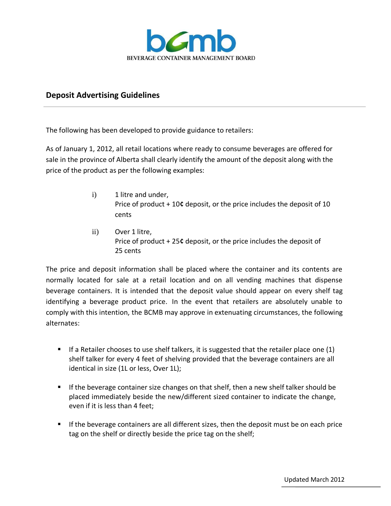

## **Deposit Advertising Guidelines**

The following has been developed to provide guidance to retailers:

As of January 1, 2012, all retail locations where ready to consume beverages are offered for sale in the province of Alberta shall clearly identify the amount of the deposit along with the price of the product as per the following examples:

- i) 1 litre and under, Price of product + 10**¢** deposit, or the price includes the deposit of 10 cents
- ii) Over 1 litre, Price of product + 25**¢** deposit, or the price includes the deposit of 25 cents

The price and deposit information shall be placed where the container and its contents are normally located for sale at a retail location and on all vending machines that dispense beverage containers. It is intended that the deposit value should appear on every shelf tag identifying a beverage product price. In the event that retailers are absolutely unable to comply with this intention, the BCMB may approve in extenuating circumstances, the following alternates:

- $\blacksquare$  If a Retailer chooses to use shelf talkers, it is suggested that the retailer place one (1) shelf talker for every 4 feet of shelving provided that the beverage containers are all identical in size (1L or less, Over 1L);
- If the beverage container size changes on that shelf, then a new shelf talker should be placed immediately beside the new/different sized container to indicate the change, even if it is less than 4 feet;
- If the beverage containers are all different sizes, then the deposit must be on each price tag on the shelf or directly beside the price tag on the shelf;

Updated March 2012